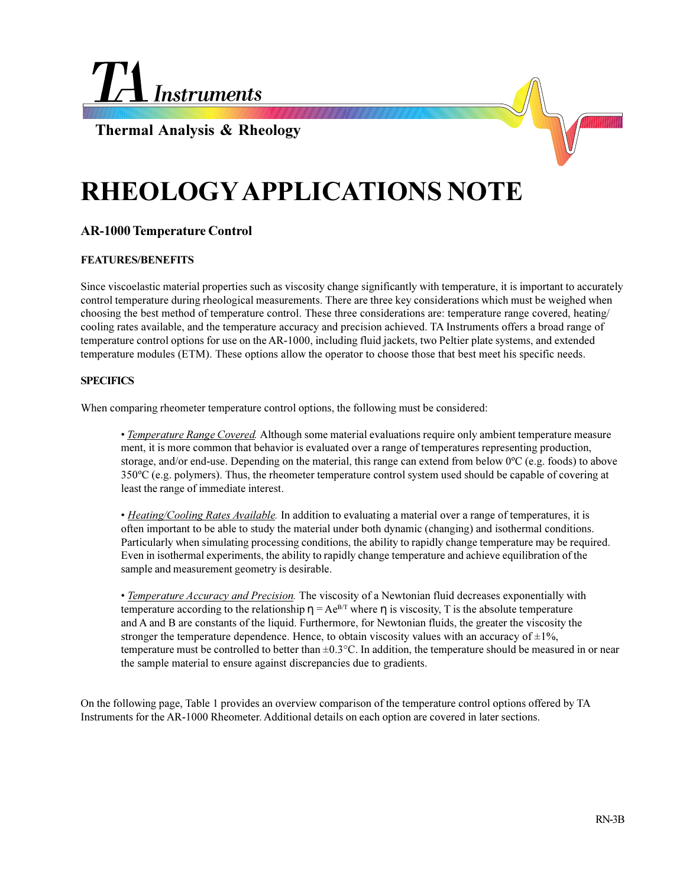

**Thermal Analysis & Rheology**

# **RHEOLOGY APPLICATIONS NOTE**

## **AR-1000 Temperature Control**

## **FEATURES/BENEFITS**

Since viscoelastic material properties such as viscosity change significantly with temperature, it is important to accurately control temperature during rheological measurements. There are three key considerations which must be weighed when choosing the best method of temperature control. These three considerations are: temperature range covered, heating/ cooling rates available, and the temperature accuracy and precision achieved. TA Instruments offers a broad range of temperature control options for use on the AR-1000, including fluid jackets, two Peltier plate systems, and extended temperature modules (ETM). These options allow the operator to choose those that best meet his specific needs.

### **SPECIFICS**

When comparing rheometer temperature control options, the following must be considered:

 *Temperature Range Covered.* Although some material evaluations require only ambient temperature measure ment, it is more common that behavior is evaluated over a range of temperatures representing production, storage, and/or end-use. Depending on the material, this range can extend from below 0ºC (e.g. foods) to above 350ºC (e.g. polymers). Thus, the rheometer temperature control system used should be capable of covering at least the range of immediate interest.

 *Heating/Cooling Rates Available.* In addition to evaluating a material over a range of temperatures, it is often important to be able to study the material under both dynamic (changing) and isothermal conditions. Particularly when simulating processing conditions, the ability to rapidly change temperature may be required. Even in isothermal experiments, the ability to rapidly change temperature and achieve equilibration of the sample and measurement geometry is desirable.

 *Temperature Accuracy and Precision.* The viscosity of a Newtonian fluid decreases exponentially with temperature according to the relationship  $\eta = Ae^{BT}$  where  $\eta$  is viscosity, T is the absolute temperature and A and B are constants of the liquid. Furthermore, for Newtonian fluids, the greater the viscosity the stronger the temperature dependence. Hence, to obtain viscosity values with an accuracy of  $\pm 1\%$ , temperature must be controlled to better than  $\pm 0.3^{\circ}$ C. In addition, the temperature should be measured in or near the sample material to ensure against discrepancies due to gradients.

On the following page, Table 1 provides an overview comparison of the temperature control options offered by TA Instruments for the AR-1000 Rheometer. Additional details on each option are covered in later sections.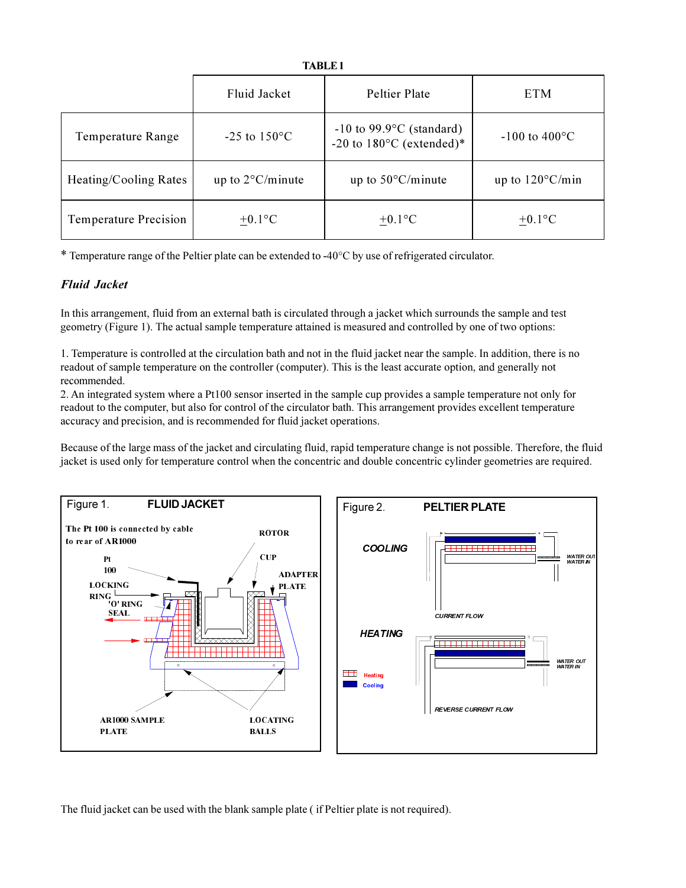### **TABLE1**

|                              | Fluid Jacket               | Peltier Plate                                                              | <b>ETM</b>                |
|------------------------------|----------------------------|----------------------------------------------------------------------------|---------------------------|
| <b>Temperature Range</b>     | $-25$ to $150^{\circ}$ C   | $-10$ to 99.9 $\degree$ C (standard)<br>-20 to $180^{\circ}$ C (extended)* | $-100$ to $400^{\circ}$ C |
| Heating/Cooling Rates        | up to $2^{\circ}$ C/minute | up to $50^{\circ}$ C/minute                                                | up to $120^{\circ}$ C/min |
| <b>Temperature Precision</b> | $+0.1$ °C                  | $+0.1$ °C                                                                  | $\pm 0.1$ °C              |

\* Temperature range of the Peltier plate can be extended to -40 $\degree$ C by use of refrigerated circulator.

## **Fluid Jacket**

In this arrangement, fluid from an external bath is circulated through a jacket which surrounds the sample and test geometry (Figure 1). The actual sample temperature attained is measured and controlled by one of two options:

1. Temperature is controlled at the circulation bath and not in the fluid jacket near the sample. In addition, there is no readout of sample temperature on the controller (computer). This is the least accurate option, and generally not recommended.

2. An integrated system where a Pt100 sensor inserted in the sample cup provides a sample temperature not only for readout to the computer, but also for control of the circulator bath. This arrangement provides excellent temperature accuracy and precision, and is recommended for fluid jacket operations.

Because of the large mass of the jacket and circulating fluid, rapid temperature change is not possible. Therefore, the fluid jacket is used only for temperature control when the concentric and double concentric cylinder geometries are required.



The fluid jacket can be used with the blank sample plate (if Peltier plate is not required).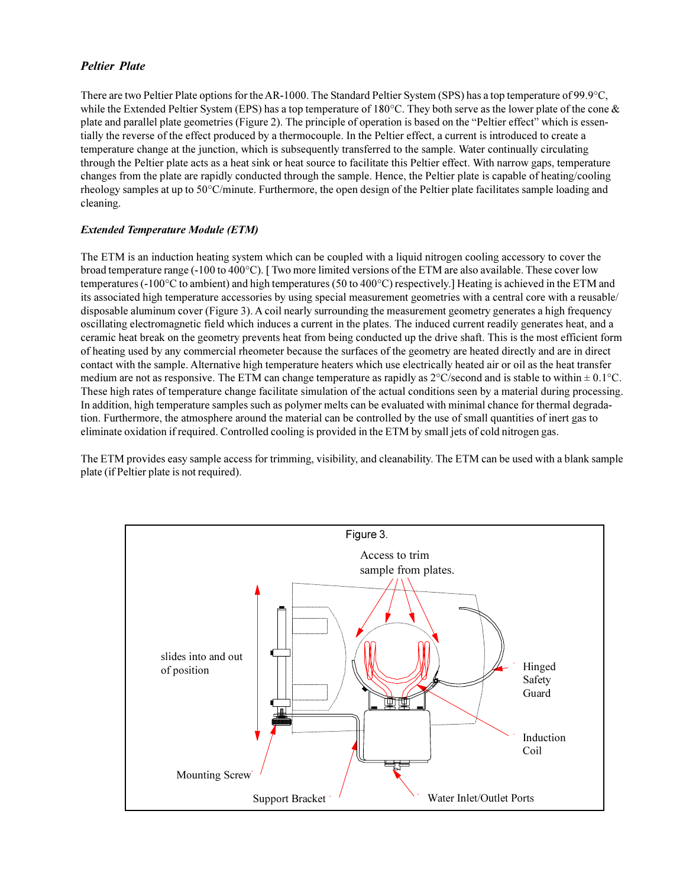## *Peltier Plate*

There are two Peltier Plate options for the AR-1000. The Standard Peltier System (SPS) has a top temperature of 99.9°C, while the Extended Peltier System (EPS) has a top temperature of  $180^{\circ}$ C. They both serve as the lower plate of the cone & plate and parallel plate geometries (Figure 2). The principle of operation is based on the "Peltier effect" which is essentially the reverse of the effect produced by a thermocouple. In the Peltier effect, a current is introduced to create a temperature change at the junction, which is subsequently transferred to the sample. Water continually circulating through the Peltier plate acts as a heat sink or heat source to facilitate this Peltier effect. With narrow gaps, temperature changes from the plate are rapidly conducted through the sample. Hence, the Peltier plate is capable of heating/cooling rheology samples at up to 50°C/minute. Furthermore, the open design of the Peltier plate facilitates sample loading and cleaning.

## *Extended Temperature Module (ETM)*

The ETM is an induction heating system which can be coupled with a liquid nitrogen cooling accessory to cover the broad temperature range (-100 to 400°C). [ Two more limited versions of the ETM are also available. These cover low temperatures (-100°C to ambient) and high temperatures (50 to 400°C) respectively.] Heating is achieved in the ETM and its associated high temperature accessories by using special measurement geometries with a central core with a reusable/ disposable aluminum cover (Figure 3). A coil nearly surrounding the measurement geometry generates a high frequency oscillating electromagnetic field which induces a current in the plates. The induced current readily generates heat, and a ceramic heat break on the geometry prevents heat from being conducted up the drive shaft. This is the most efficient form of heating used by any commercial rheometer because the surfaces of the geometry are heated directly and are in direct contact with the sample. Alternative high temperature heaters which use electrically heated air or oil as the heat transfer medium are not as responsive. The ETM can change temperature as rapidly as  $2^{\circ}$ C/second and is stable to within  $\pm 0.1^{\circ}$ C. These high rates of temperature change facilitate simulation of the actual conditions seen by a material during processing. In addition, high temperature samples such as polymer melts can be evaluated with minimal chance for thermal degradation. Furthermore, the atmosphere around the material can be controlled by the use of small quantities of inert gas to eliminate oxidation if required. Controlled cooling is provided in the ETM by small jets of cold nitrogen gas.

The ETM provides easy sample access for trimming, visibility, and cleanability. The ETM can be used with a blank sample plate (if Peltier plate is not required).